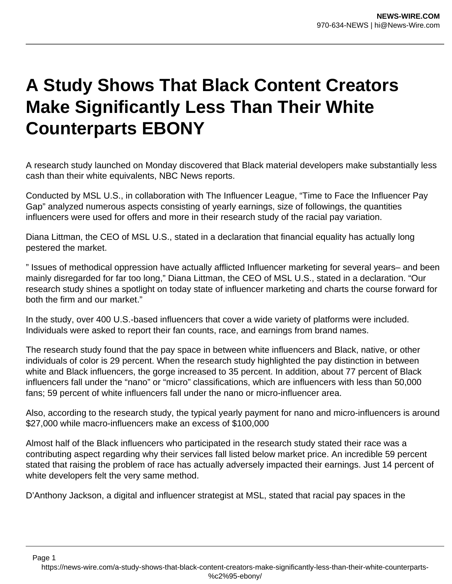## **A Study Shows That Black Content Creators Make Significantly Less Than Their White Counterparts EBONY**

A research study launched on Monday discovered that Black material developers make substantially less cash than their white equivalents, NBC News reports.

Conducted by MSL U.S., in collaboration with The Influencer League, "Time to Face the Influencer Pay Gap" analyzed numerous aspects consisting of yearly earnings, size of followings, the quantities influencers were used for offers and more in their research study of the racial pay variation.

Diana Littman, the CEO of MSL U.S., stated in a declaration that financial equality has actually long pestered the market.

" Issues of methodical oppression have actually afflicted Influencer marketing for several years– and been mainly disregarded for far too long," Diana Littman, the CEO of MSL U.S., stated in a declaration. "Our research study shines a spotlight on today state of influencer marketing and charts the course forward for both the firm and our market."

In the study, over 400 U.S.-based influencers that cover a wide variety of platforms were included. Individuals were asked to report their fan counts, race, and earnings from brand names.

The research study found that the pay space in between white influencers and Black, native, or other individuals of color is 29 percent. When the research study highlighted the pay distinction in between white and Black influencers, the gorge increased to 35 percent. In addition, about 77 percent of Black influencers fall under the "nano" or "micro" classifications, which are influencers with less than 50,000 fans; 59 percent of white influencers fall under the nano or micro-influencer area.

Also, according to the research study, the typical yearly payment for nano and micro-influencers is around \$27,000 while macro-influencers make an excess of \$100,000

Almost half of the Black influencers who participated in the research study stated their race was a contributing aspect regarding why their services fall listed below market price. An incredible 59 percent stated that raising the problem of race has actually adversely impacted their earnings. Just 14 percent of white developers felt the very same method.

D'Anthony Jackson, a digital and influencer strategist at MSL, stated that racial pay spaces in the

Page 1

https://news-wire.com/a-study-shows-that-black-content-creators-make-significantly-less-than-their-white-counterparts- %c2%95-ebony/